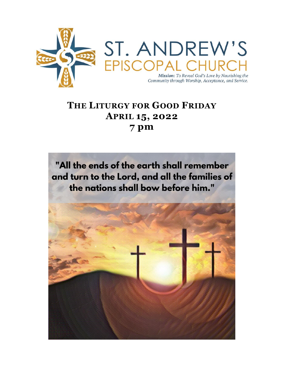

# **THE LITURGY FOR GOOD FRIDAY APRIL 15, 2022 7 pm**

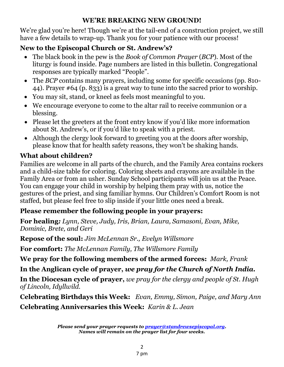#### **WE'RE BREAKING NEW GROUND!**

We're glad you're here! Though we're at the tail-end of a construction project, we still have a few details to wrap-up. Thank you for your patience with our process!

#### **New to the Episcopal Church or St. Andrew's?**

- The black book in the pew is the *Book of Common Prayer* (*BCP*). Most of the liturgy is found inside. Page numbers are listed in this bulletin. Congregational responses are typically marked "People".
- The *BCP* contains many prayers, including some for specific occasions (pp. 810- 44). Prayer #64 (p. 833) is a great way to tune into the sacred prior to worship.
- You may sit, stand, or kneel as feels most meaningful to you.
- We encourage everyone to come to the altar rail to receive communion or a blessing.
- Please let the greeters at the front entry know if you'd like more information about St. Andrew's, or if you'd like to speak with a priest.
- Although the clergy look forward to greeting you at the doors after worship, please know that for health safety reasons, they won't be shaking hands.

#### **What about children?**

Families are welcome in all parts of the church, and the Family Area contains rockers and a child-size table for coloring. Coloring sheets and crayons are available in the Family Area or from an usher. Sunday School participants will join us at the Peace. You can engage your child in worship by helping them pray with us, notice the gestures of the priest, and sing familiar hymns. Our Children's Comfort Room is not staffed, but please feel free to slip inside if your little ones need a break.

#### **Please remember the following people in your prayers:**

**For healing***: Lynn, Steve, Judy, Iris, Brian, Laura, Samasoni, Evan, Mike, Dominic, Brete, and Geri*

**Repose of the soul:** *Jim McLennan Sr., Evelyn Willsmore*

**For comfort:** *The McLennan Family, The Willsmore Family*

**We pray for the following members of the armed forces:** *Mark, Frank*

**In the Anglican cycle of prayer,** *we pray for the Church of North India.*

**In the Diocesan cycle of prayer,** *we pray for the clergy and people of St. Hugh of Lincoln, Idyllwild.*

**Celebrating Birthdays this Week:** *Evan, Emmy, Simon, Paige, and Mary Ann*  **Celebrating Anniversaries this Week:** *Karin & L. Jean*

> *Please send your prayer requests to [prayer@standrewsepiscopal.org.](mailto:prayer@standrewsepiscopal.org) Names will remain on the prayer list for four weeks.*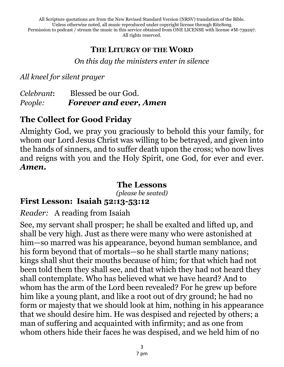All Scripture quotations are from the New Revised Standard Version (NRSV) translation of the Bible. Unless otherwise noted, all music reproduced under copyright license through RiteSong Permission to podcast / stream the music in this service obtained from ONE LICENSE with license #M-739297. All rights reserved.

# **THE LITURGY OF THE WORD**

*On this day the ministers enter in silence*

*All kneel for silent prayer*

*Celebrant***:** Blessed be our God. *People: Forever and ever, Amen*

# **The Collect for Good Friday**

Almighty God, we pray you graciously to behold this your family, for whom our Lord Jesus Christ was willing to be betrayed, and given into the hands of sinners, and to suffer death upon the cross; who now lives and reigns with you and the Holy Spirit, one God, for ever and ever. *Amen.*

#### **The Lessons**

*(please be seated)*

# **First Lesson: Isaiah 52:13-53:12**

# *Reader:* A reading from Isaiah

See, my servant shall prosper; he shall be exalted and lifted up, and shall be very high. Just as there were many who were astonished at him—so marred was his appearance, beyond human semblance, and his form beyond that of mortals—so he shall startle many nations; kings shall shut their mouths because of him; for that which had not been told them they shall see, and that which they had not heard they shall contemplate. Who has believed what we have heard? And to whom has the arm of the Lord been revealed? For he grew up before him like a young plant, and like a root out of dry ground; he had no form or majesty that we should look at him, nothing in his appearance that we should desire him. He was despised and rejected by others; a man of suffering and acquainted with infirmity; and as one from whom others hide their faces he was despised, and we held him of no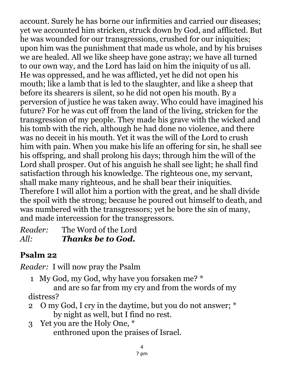account. Surely he has borne our infirmities and carried our diseases; yet we accounted him stricken, struck down by God, and afflicted. But he was wounded for our transgressions, crushed for our iniquities; upon him was the punishment that made us whole, and by his bruises we are healed. All we like sheep have gone astray; we have all turned to our own way, and the Lord has laid on him the iniquity of us all. He was oppressed, and he was afflicted, yet he did not open his mouth; like a lamb that is led to the slaughter, and like a sheep that before its shearers is silent, so he did not open his mouth. By a perversion of justice he was taken away. Who could have imagined his future? For he was cut off from the land of the living, stricken for the transgression of my people. They made his grave with the wicked and his tomb with the rich, although he had done no violence, and there was no deceit in his mouth. Yet it was the will of the Lord to crush him with pain. When you make his life an offering for sin, he shall see his offspring, and shall prolong his days; through him the will of the Lord shall prosper. Out of his anguish he shall see light; he shall find satisfaction through his knowledge. The righteous one, my servant, shall make many righteous, and he shall bear their iniquities. Therefore I will allot him a portion with the great, and he shall divide the spoil with the strong; because he poured out himself to death, and was numbered with the transgressors; yet he bore the sin of many, and made intercession for the transgressors.

*Reader:* The Word of the Lord *All: Thanks be to God.*

# **Psalm 22**

*Reader:* I will now pray the Psalm

- 1 My God, my God, why have you forsaken me? \* and are so far from my cry and from the words of my distress?
- 2 O my God, I cry in the daytime, but you do not answer; \* by night as well, but I find no rest.
- 3 Yet you are the Holy One, \* enthroned upon the praises of Israel.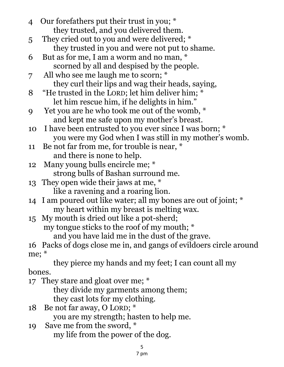4 Our forefathers put their trust in you; \* they trusted, and you delivered them. 5 They cried out to you and were delivered; \* they trusted in you and were not put to shame. 6 But as for me, I am a worm and no man, \* scorned by all and despised by the people. 7 All who see me laugh me to scorn; \* they curl their lips and wag their heads, saying, 8 "He trusted in the LORD; let him deliver him; \* let him rescue him, if he delights in him." 9 Yet you are he who took me out of the womb, \* and kept me safe upon my mother's breast. 10 I have been entrusted to you ever since I was born; \* you were my God when I was still in my mother's womb. 11 Be not far from me, for trouble is near, \* and there is none to help. 12 Many young bulls encircle me; \* strong bulls of Bashan surround me. 13 They open wide their jaws at me, \* like a ravening and a roaring lion. 14 I am poured out like water; all my bones are out of joint; \* my heart within my breast is melting wax. 15 My mouth is dried out like a pot-sherd; my tongue sticks to the roof of my mouth; \* and you have laid me in the dust of the grave. 16 Packs of dogs close me in, and gangs of evildoers circle around me; \* they pierce my hands and my feet; I can count all my bones. 17 They stare and gloat over me; \* they divide my garments among them; they cast lots for my clothing. 18 Be not far away, O LORD; \* you are my strength; hasten to help me. 19 Save me from the sword, \* my life from the power of the dog.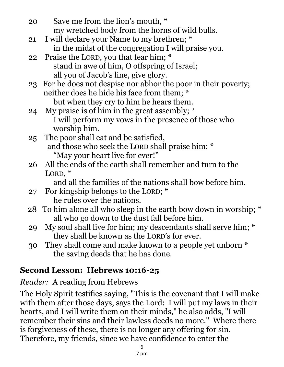- 20 Save me from the lion's mouth, \* my wretched body from the horns of wild bulls.
- 21 I will declare your Name to my brethren; \* in the midst of the congregation I will praise you.
- 22 Praise the LORD, you that fear him; \* stand in awe of him, O offspring of Israel; all you of Jacob's line, give glory.
- 23 For he does not despise nor abhor the poor in their poverty; neither does he hide his face from them; \* but when they cry to him he hears them.
- 24 My praise is of him in the great assembly; \* I will perform my vows in the presence of those who worship him.
- 25 The poor shall eat and be satisfied, and those who seek the LORD shall praise him: \* "May your heart live for ever!"
- 26 All the ends of the earth shall remember and turn to the LORD, \*

and all the families of the nations shall bow before him.

- 27 For kingship belongs to the LORD; \* he rules over the nations.
- 28 To him alone all who sleep in the earth bow down in worship; \* all who go down to the dust fall before him.
- 29 My soul shall live for him; my descendants shall serve him; \* they shall be known as the LORD's for ever.
- 30 They shall come and make known to a people yet unborn \* the saving deeds that he has done.

# **Second Lesson: Hebrews 10:16-25**

# *Reader:* A reading from Hebrews

The Holy Spirit testifies saying, "This is the covenant that I will make with them after those days, says the Lord: I will put my laws in their hearts, and I will write them on their minds," he also adds, "I will remember their sins and their lawless deeds no more." Where there is forgiveness of these, there is no longer any offering for sin. Therefore, my friends, since we have confidence to enter the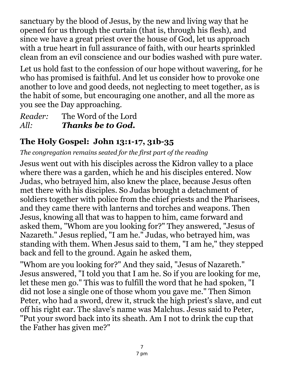sanctuary by the blood of Jesus, by the new and living way that he opened for us through the curtain (that is, through his flesh), and since we have a great priest over the house of God, let us approach with a true heart in full assurance of faith, with our hearts sprinkled clean from an evil conscience and our bodies washed with pure water.

Let us hold fast to the confession of our hope without wavering, for he who has promised is faithful. And let us consider how to provoke one another to love and good deeds, not neglecting to meet together, as is the habit of some, but encouraging one another, and all the more as you see the Day approaching.

*Reader:* The Word of the Lord *All: Thanks be to God.*

# **The Holy Gospel: John 13:1-17, 31b-35**

*The congregation remains seated for the first part of the reading*

Jesus went out with his disciples across the Kidron valley to a place where there was a garden, which he and his disciples entered. Now Judas, who betrayed him, also knew the place, because Jesus often met there with his disciples. So Judas brought a detachment of soldiers together with police from the chief priests and the Pharisees, and they came there with lanterns and torches and weapons. Then Jesus, knowing all that was to happen to him, came forward and asked them, "Whom are you looking for?" They answered, "Jesus of Nazareth." Jesus replied, "I am he." Judas, who betrayed him, was standing with them. When Jesus said to them, "I am he," they stepped back and fell to the ground. Again he asked them,

"Whom are you looking for?" And they said, "Jesus of Nazareth." Jesus answered, "I told you that I am he. So if you are looking for me, let these men go." This was to fulfill the word that he had spoken, "I did not lose a single one of those whom you gave me." Then Simon Peter, who had a sword, drew it, struck the high priest's slave, and cut off his right ear. The slave's name was Malchus. Jesus said to Peter, "Put your sword back into its sheath. Am I not to drink the cup that the Father has given me?"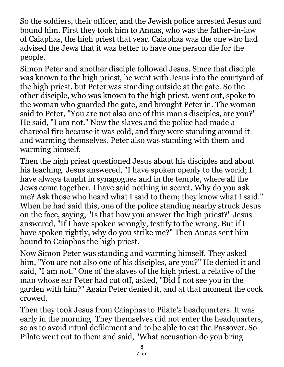So the soldiers, their officer, and the Jewish police arrested Jesus and bound him. First they took him to Annas, who was the father-in-law of Caiaphas, the high priest that year. Caiaphas was the one who had advised the Jews that it was better to have one person die for the people.

Simon Peter and another disciple followed Jesus. Since that disciple was known to the high priest, he went with Jesus into the courtyard of the high priest, but Peter was standing outside at the gate. So the other disciple, who was known to the high priest, went out, spoke to the woman who guarded the gate, and brought Peter in. The woman said to Peter, "You are not also one of this man's disciples, are you?" He said, "I am not." Now the slaves and the police had made a charcoal fire because it was cold, and they were standing around it and warming themselves. Peter also was standing with them and warming himself.

Then the high priest questioned Jesus about his disciples and about his teaching. Jesus answered, "I have spoken openly to the world; I have always taught in synagogues and in the temple, where all the Jews come together. I have said nothing in secret. Why do you ask me? Ask those who heard what I said to them; they know what I said." When he had said this, one of the police standing nearby struck Jesus on the face, saying, "Is that how you answer the high priest?" Jesus answered, "If I have spoken wrongly, testify to the wrong. But if I have spoken rightly, why do you strike me?" Then Annas sent him bound to Caiaphas the high priest.

Now Simon Peter was standing and warming himself. They asked him, "You are not also one of his disciples, are you?" He denied it and said, "I am not." One of the slaves of the high priest, a relative of the man whose ear Peter had cut off, asked, "Did I not see you in the garden with him?" Again Peter denied it, and at that moment the cock crowed.

Then they took Jesus from Caiaphas to Pilate's headquarters. It was early in the morning. They themselves did not enter the headquarters, so as to avoid ritual defilement and to be able to eat the Passover. So Pilate went out to them and said, "What accusation do you bring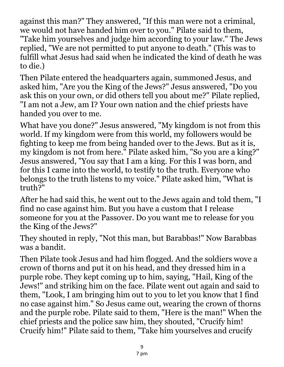against this man?" They answered, "If this man were not a criminal, we would not have handed him over to you." Pilate said to them,

"Take him yourselves and judge him according to your law." The Jews replied, "We are not permitted to put anyone to death." (This was to fulfill what Jesus had said when he indicated the kind of death he was to die.)

Then Pilate entered the headquarters again, summoned Jesus, and asked him, "Are you the King of the Jews?" Jesus answered, "Do you ask this on your own, or did others tell you about me?" Pilate replied, "I am not a Jew, am I? Your own nation and the chief priests have handed you over to me.

What have you done?" Jesus answered, "My kingdom is not from this world. If my kingdom were from this world, my followers would be fighting to keep me from being handed over to the Jews. But as it is, my kingdom is not from here." Pilate asked him, "So you are a king?" Jesus answered, "You say that I am a king. For this I was born, and for this I came into the world, to testify to the truth. Everyone who belongs to the truth listens to my voice." Pilate asked him, "What is truth?"

After he had said this, he went out to the Jews again and told them, "I find no case against him. But you have a custom that I release someone for you at the Passover. Do you want me to release for you the King of the Jews?"

They shouted in reply, "Not this man, but Barabbas!" Now Barabbas was a bandit.

Then Pilate took Jesus and had him flogged. And the soldiers wove a crown of thorns and put it on his head, and they dressed him in a purple robe. They kept coming up to him, saying, "Hail, King of the Jews!" and striking him on the face. Pilate went out again and said to them, "Look, I am bringing him out to you to let you know that I find no case against him." So Jesus came out, wearing the crown of thorns and the purple robe. Pilate said to them, "Here is the man!" When the chief priests and the police saw him, they shouted, "Crucify him! Crucify him!" Pilate said to them, "Take him yourselves and crucify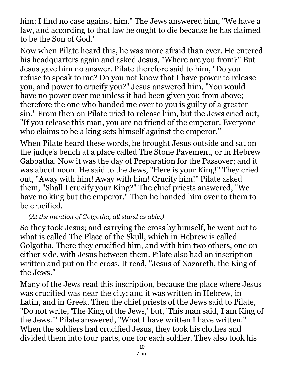him; I find no case against him." The Jews answered him, "We have a law, and according to that law he ought to die because he has claimed to be the Son of God."

Now when Pilate heard this, he was more afraid than ever. He entered his headquarters again and asked Jesus, "Where are you from?" But Jesus gave him no answer. Pilate therefore said to him, "Do you refuse to speak to me? Do you not know that I have power to release you, and power to crucify you?" Jesus answered him, "You would have no power over me unless it had been given you from above; therefore the one who handed me over to you is guilty of a greater sin." From then on Pilate tried to release him, but the Jews cried out, "If you release this man, you are no friend of the emperor. Everyone who claims to be a king sets himself against the emperor."

When Pilate heard these words, he brought Jesus outside and sat on the judge's bench at a place called The Stone Pavement, or in Hebrew Gabbatha. Now it was the day of Preparation for the Passover; and it was about noon. He said to the Jews, "Here is your King!" They cried out, "Away with him! Away with him! Crucify him!" Pilate asked them, "Shall I crucify your King?" The chief priests answered, "We have no king but the emperor." Then he handed him over to them to be crucified.

#### *(At the mention of Golgotha, all stand as able.)*

So they took Jesus; and carrying the cross by himself, he went out to what is called The Place of the Skull, which in Hebrew is called Golgotha. There they crucified him, and with him two others, one on either side, with Jesus between them. Pilate also had an inscription written and put on the cross. It read, "Jesus of Nazareth, the King of the Jews."

Many of the Jews read this inscription, because the place where Jesus was crucified was near the city; and it was written in Hebrew, in Latin, and in Greek. Then the chief priests of the Jews said to Pilate, "Do not write, 'The King of the Jews,' but, 'This man said, I am King of the Jews.'" Pilate answered, "What I have written I have written." When the soldiers had crucified Jesus, they took his clothes and divided them into four parts, one for each soldier. They also took his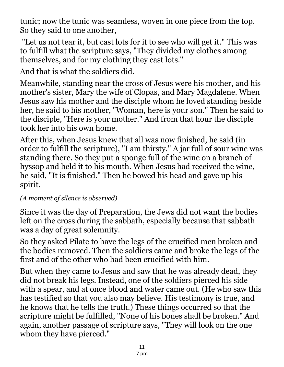tunic; now the tunic was seamless, woven in one piece from the top. So they said to one another,

"Let us not tear it, but cast lots for it to see who will get it." This was to fulfill what the scripture says, "They divided my clothes among themselves, and for my clothing they cast lots."

And that is what the soldiers did.

Meanwhile, standing near the cross of Jesus were his mother, and his mother's sister, Mary the wife of Clopas, and Mary Magdalene. When Jesus saw his mother and the disciple whom he loved standing beside her, he said to his mother, "Woman, here is your son." Then he said to the disciple, "Here is your mother." And from that hour the disciple took her into his own home.

After this, when Jesus knew that all was now finished, he said (in order to fulfill the scripture), "I am thirsty." A jar full of sour wine was standing there. So they put a sponge full of the wine on a branch of hyssop and held it to his mouth. When Jesus had received the wine, he said, "It is finished." Then he bowed his head and gave up his spirit.

*(A moment of silence is observed)*

Since it was the day of Preparation, the Jews did not want the bodies left on the cross during the sabbath, especially because that sabbath was a day of great solemnity.

So they asked Pilate to have the legs of the crucified men broken and the bodies removed. Then the soldiers came and broke the legs of the first and of the other who had been crucified with him.

But when they came to Jesus and saw that he was already dead, they did not break his legs. Instead, one of the soldiers pierced his side with a spear, and at once blood and water came out. (He who saw this has testified so that you also may believe. His testimony is true, and he knows that he tells the truth.) These things occurred so that the scripture might be fulfilled, "None of his bones shall be broken." And again, another passage of scripture says, "They will look on the one whom they have pierced."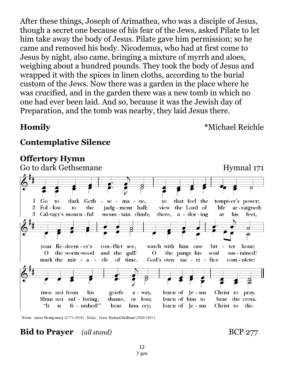After these things, Joseph of Arimathea, who was a disciple of Jesus, though a secret one because of his fear of the Jews, asked Pilate to let him take away the body of Jesus. Pilate gave him permission; so he came and removed his body. Nicodemus, who had at first come to Jesus by night, also came, bringing a mixture of myrrh and aloes, weighing about a hundred pounds. They took the body of Jesus and wrapped it with the spices in linen cloths, according to the burial custom of the Jews. Now there was a garden in the place where he was crucified, and in the garden there was a new tomb in which no one had ever been laid. And so, because it was the Jewish day of Preparation, and the tomb was nearby, they laid Jesus there.

**Homily \***Michael Reichle

# **Contemplative Silence**



Words: James Montgomery (1771-1854) Music: Petra, Richard Redhead (1820-1901)

#### **Bid to Prayer** *(all stand)* BCP 277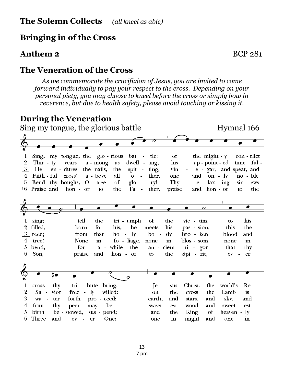# **The Solemn Collects** *(all kneel as able)*

## **Bringing in of the Cross**

#### **Anthem 2** BCP 281

# **The Veneration of the Cross**

*As we commemorate the crucifixion of Jesus, you are invited to come forward individually to pay your respect to the cross. Depending on your personal piety, you may choose to kneel before the cross or simply bow in reverence, but due to health safety, please avoid touching or kissing it.*

| <b>During the Veneration</b>                      |             |                            |              |               |           |                |                         |                        |             |                  |                         |                      |  |
|---------------------------------------------------|-------------|----------------------------|--------------|---------------|-----------|----------------|-------------------------|------------------------|-------------|------------------|-------------------------|----------------------|--|
| Sing my tongue, the glorious battle<br>Hymnal 166 |             |                            |              |               |           |                |                         |                        |             |                  |                         |                      |  |
|                                                   |             |                            |              |               |           |                |                         |                        |             |                  |                         |                      |  |
|                                                   |             |                            |              |               |           |                |                         |                        |             |                  |                         |                      |  |
|                                                   |             |                            |              |               |           |                |                         |                        |             |                  |                         |                      |  |
| $\mathbf{I}$                                      | Sing,       | my tongue, the glo - rious |              |               |           | bat            | tle;<br>$\blacksquare$  | of                     |             | the might $-y$   |                         | con - flict          |  |
| $\overline{2}$                                    | Thir $-$ ty | years                      |              | a - mong      | <b>us</b> | $d$ well       | ing,<br>$\sim$          | his                    |             | ap - point - ed  |                         | - ful -<br>time      |  |
| $\overline{3}$                                    | He          | en - dures                 |              | the nails,    | the       | spit           | ting,<br>$\sim 10$      | vin                    |             |                  | e - gar, and spear, and |                      |  |
| $\overline{4}$                                    | Faith - ful | cross!                     |              | a - bove      | all       | $\mathbf O$    | ther,<br>$\blacksquare$ | one                    |             | and on $-$ ly    |                         | no - ble             |  |
| 5                                                 |             | Bend thy boughs,           | $\mathbf{O}$ | tree          | of        | glo            | ry!<br>$\blacksquare$   | <b>Thy</b>             |             | $re - lax - ing$ |                         | sin - ews            |  |
| $*6$                                              | Praise and  | $hon - or$                 |              | to            | the       | Fa             | ther,                   | praise                 |             | and hon - or     |                         | the<br>to            |  |
|                                                   |             |                            |              |               |           |                |                         |                        |             |                  |                         |                      |  |
|                                                   |             |                            |              |               |           |                |                         |                        |             |                  |                         |                      |  |
|                                                   |             | Ô                          |              |               |           |                |                         |                        |             | $\sigma$         |                         |                      |  |
|                                                   |             |                            |              |               |           |                |                         |                        |             |                  |                         |                      |  |
|                                                   | sing;       |                            | tell         | the           |           | tri - umph     | of                      | the                    | vic - tim,  |                  | to                      | his                  |  |
| $\overline{2}$                                    | filled,     |                            | born         | for           | this,     | he             | meets                   | his                    | pas - sion, |                  | this                    | the                  |  |
| 3                                                 | reed;       |                            | from         | that          | $ho -$    | $\mathbf{I}$ y | bo<br>$\sim$            | $\mathbf{d}\mathbf{v}$ | bro - ken   |                  | blood                   | and                  |  |
| $\overline{\mathbf{4}}$                           | tree!       |                            | None         | $\mathbf{in}$ |           | fo - liage,    | none                    | in                     | blos - som, |                  | none                    | in                   |  |
| 5                                                 | bend;       |                            | for          | $a -$         | while     | the            |                         | an - cient             | $ri - gor$  |                  | that                    | thy                  |  |
| 6                                                 | Son,        |                            | praise       | and           |           | hon - or       | to                      | the                    | Spi - rit,  |                  | ev                      | er<br>$\blacksquare$ |  |
|                                                   |             |                            |              |               |           |                |                         |                        |             |                  |                         |                      |  |
|                                                   |             |                            |              |               |           |                |                         |                        |             |                  |                         |                      |  |
|                                                   |             |                            |              |               |           |                |                         |                        |             |                  |                         |                      |  |
| $\bf{l}$                                          | cross       | thy                        | tri - bute   |               | bring.    |                | Je                      | sus<br>$\blacksquare$  | Christ,     | the              | world's                 | Re                   |  |
| $\overline{2}$                                    | $Sa -$      | vior                       | free - ly    |               | willed:   |                | on                      | the                    | cross       | the              | Lamb                    | is                   |  |
| $\overline{3}$                                    | wa -        | forth<br>ter               |              | pro - ceed:   |           |                | earth,                  | and                    | stars,      | and              | sky,                    | and                  |  |
| $\overline{\mathbf{4}}$                           | fruit       | thy<br>peer                |              | may           | be:       |                | sweet -                 | est                    | wood        | and              | sweet - est             |                      |  |
| 5                                                 |             |                            |              |               |           |                |                         |                        |             |                  |                         |                      |  |
|                                                   | birth       | be - stowed,               |              | sus - pend;   |           |                | and                     | the                    | King        | of               | heaven - ly             |                      |  |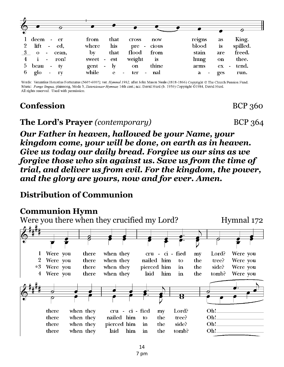| — L    |                         |                             |      |                 |            |                     |        |          |
|--------|-------------------------|-----------------------------|------|-----------------|------------|---------------------|--------|----------|
| —<br>♥ |                         |                             |      |                 |            |                     |        |          |
|        | $1$ deem - $er$         | from                        | that | <b>Cross</b>    | $\bf{now}$ | reigns              | as     | King.    |
|        | $2$ lift - ed,          | where                       | his  | pre - cious     |            | blood               | is     | spilled. |
|        | $\frac{3}{2}$ o - cean, | by                          | that | flood from      |            | stain               | are    | freed.   |
|        | $4$ i - ron!            | sweet - est                 |      | weight is       |            | hung                | on     | thee.    |
|        | 5 beau - ty             | $\text{gent}$ - $\text{ly}$ |      | on              | thine      | arms                | $ex -$ | tend.    |
|        | $6$ glo - ry            |                             |      | while e ter nal |            | a<br>$\blacksquare$ | ges    | run.     |

Words: Venantius Honorius Fortunatus (560?-600?); ver. Hymnal 1982, after John Mason Neale (1818-1866) Copyright @ The Church Pension Fund. Music: Pange lingua, plainsong, Mode 3, Zisterzienser Hymnar, 14th cent.; acc. David Hurd (b. 1950) Copyright ©1984, David Hurd. All rights reserved. Used with permission.

# **Confession** BCP 360

#### **The Lord's Prayer** *(contemporary)* BCP 364

*Our Father in heaven, hallowed be your Name, your kingdom come, your will be done, on earth as in heaven. Give us today our daily bread. Forgive us our sins as we forgive those who sin against us. Save us from the time of trial, and deliver us from evil. For the kingdom, the power, and the glory are yours, now and for ever. Amen.*

# **Distribution of Communion**

#### **Communion Hymn**



14 7 pm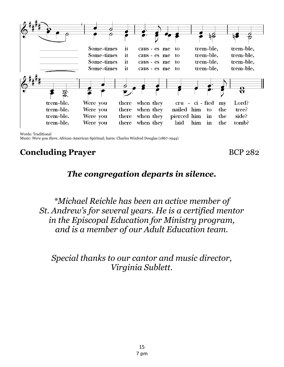

Words: Traditional

Music: *Were you there*, African-American Spiritual; harm. Charles Winfred Douglas (1867-1944)

# **Concluding Prayer** BCP 282

# *The congregation departs in silence.*

*\*Michael Reichle has been an active member of St. Andrew's for several years. He is a certified mentor in the Episcopal Education for Ministry program, and is a member of our Adult Education team.*

# *Special thanks to our cantor and music director, Virginia Sublett.*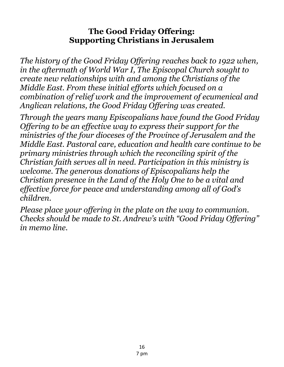### **The Good Friday Offering: Supporting Christians in Jerusalem**

*The history of the Good Friday Offering reaches back to 1922 when, in the aftermath of World War I, The Episcopal Church sought to create new relationships with and among the Christians of the Middle East. From these initial efforts which focused on a combination of relief work and the improvement of ecumenical and Anglican relations, the Good Friday Offering was created.* 

*Through the years many Episcopalians have found the Good Friday Offering to be an effective way to express their support for the ministries of the four dioceses of the Province of Jerusalem and the Middle East. Pastoral care, education and health care continue to be primary ministries through which the reconciling spirit of the Christian faith serves all in need. Participation in this ministry is welcome. The generous donations of Episcopalians help the Christian presence in the Land of the Holy One to be a vital and effective force for peace and understanding among all of God's children.*

*Please place your offering in the plate on the way to communion. Checks should be made to St. Andrew's with "Good Friday Offering" in memo line.*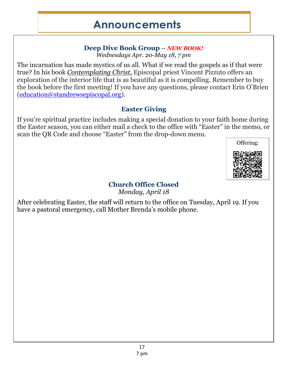# **Announcements**

#### **Deep Dive Book Group --** *NEW BOOK!*

*Wednesdays Apr. 20-May 18, 7 pm*

The incarnation has made mystics of us all. What if we read the gospels as if that were true? In his book *[Contemplating Christ](https://d.docs.live.net/17e504b69daba79f/St.%20Andrews%20Work/Adult%20Ed/The%20incarnation%20has%20made%20mystics%20of%20us%20all.%20What%20if%20we%20read%20the%20gospels%20as%20if%20that%20were%20true?%20In%20his%20book%20Contemplating%20Christ,Vincent%20Pizzuto%20offers%20an%20exploration%20of%20the%20interior%20life%20that%20is%20as%20beautiful%20as%20it%20is%20compelling.)*, Episcopal priest Vincent Pizzuto offers an exploration of the interior life that is as beautiful as it is compelling. Remember to buy the book before the first meeting! If you have any questions, please contact Erin O'Brien [\(education@standrewsepiscopal.org\)](mailto:education@standrewsepiscopal.org).

#### **Easter Giving**

If you're spiritual practice includes making a special donation to your faith home during the Easter season, you can either mail a check to the office with "Easter" in the memo, or scan the QR Code and choose "Easter" from the drop-down menu.



#### **Church Office Closed**

*Monday, April 18*

After celebrating Easter, the staff will return to the office on Tuesday, April 19. If you have a pastoral emergency, call Mother Brenda's mobile phone.